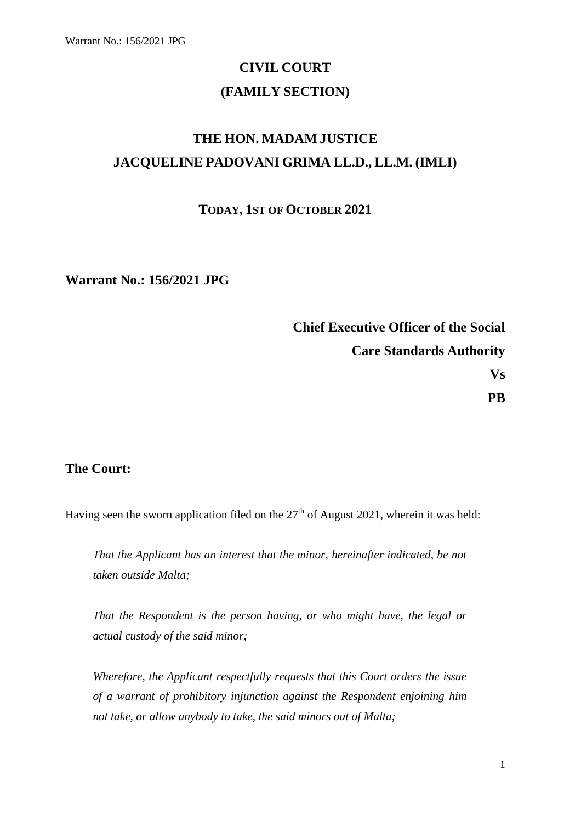# **CIVIL COURT (FAMILY SECTION)**

# **THE HON. MADAM JUSTICE JACQUELINE PADOVANI GRIMA LL.D., LL.M. (IMLI)**

### **TODAY, 1ST OF OCTOBER 2021**

**Warrant No.: 156/2021 JPG**

**Chief Executive Officer of the Social Care Standards Authority Vs PB**

### **The Court:**

Having seen the sworn application filed on the  $27<sup>th</sup>$  of August 2021, wherein it was held:

*That the Applicant has an interest that the minor, hereinafter indicated, be not taken outside Malta;*

*That the Respondent is the person having, or who might have, the legal or actual custody of the said minor;*

*Wherefore, the Applicant respectfully requests that this Court orders the issue of a warrant of prohibitory injunction against the Respondent enjoining him not take, or allow anybody to take, the said minors out of Malta;*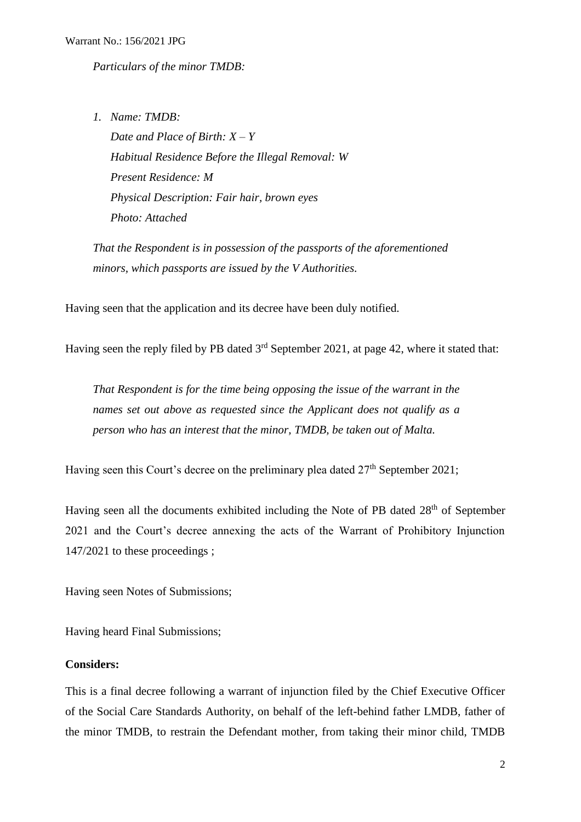*Particulars of the minor TMDB:*

*1. Name: TMDB: Date and Place of Birth: X – Y Habitual Residence Before the Illegal Removal: W Present Residence: M Physical Description: Fair hair, brown eyes Photo: Attached*

*That the Respondent is in possession of the passports of the aforementioned minors, which passports are issued by the V Authorities.* 

Having seen that the application and its decree have been duly notified.

Having seen the reply filed by PB dated  $3<sup>rd</sup>$  September 2021, at page 42, where it stated that:

*That Respondent is for the time being opposing the issue of the warrant in the names set out above as requested since the Applicant does not qualify as a person who has an interest that the minor, TMDB, be taken out of Malta.*

Having seen this Court's decree on the preliminary plea dated  $27<sup>th</sup>$  September 2021;

Having seen all the documents exhibited including the Note of PB dated 28<sup>th</sup> of September 2021 and the Court's decree annexing the acts of the Warrant of Prohibitory Injunction 147/2021 to these proceedings ;

Having seen Notes of Submissions;

Having heard Final Submissions;

#### **Considers:**

This is a final decree following a warrant of injunction filed by the Chief Executive Officer of the Social Care Standards Authority, on behalf of the left-behind father LMDB, father of the minor TMDB, to restrain the Defendant mother, from taking their minor child, TMDB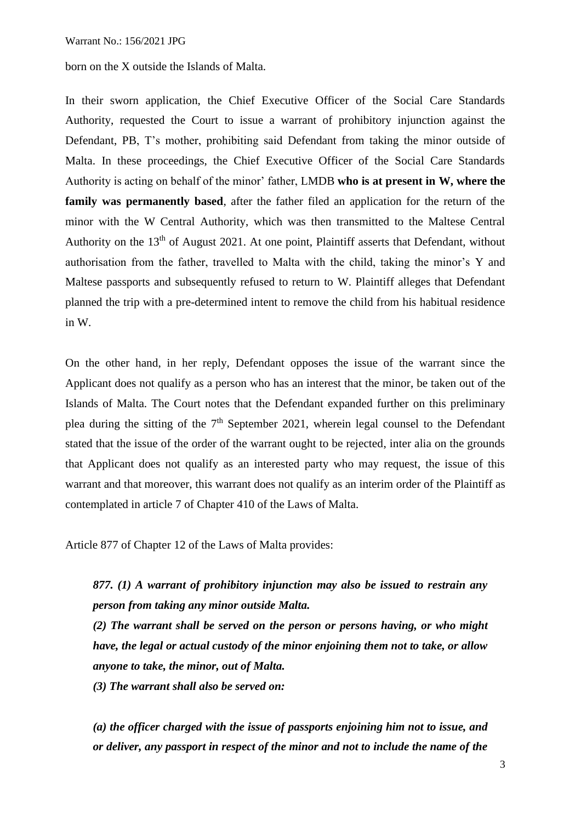born on the X outside the Islands of Malta.

In their sworn application, the Chief Executive Officer of the Social Care Standards Authority, requested the Court to issue a warrant of prohibitory injunction against the Defendant, PB, T's mother, prohibiting said Defendant from taking the minor outside of Malta. In these proceedings, the Chief Executive Officer of the Social Care Standards Authority is acting on behalf of the minor' father, LMDB **who is at present in W, where the family was permanently based**, after the father filed an application for the return of the minor with the W Central Authority, which was then transmitted to the Maltese Central Authority on the 13<sup>th</sup> of August 2021. At one point, Plaintiff asserts that Defendant, without authorisation from the father, travelled to Malta with the child, taking the minor's Y and Maltese passports and subsequently refused to return to W. Plaintiff alleges that Defendant planned the trip with a pre-determined intent to remove the child from his habitual residence in W.

On the other hand, in her reply, Defendant opposes the issue of the warrant since the Applicant does not qualify as a person who has an interest that the minor, be taken out of the Islands of Malta. The Court notes that the Defendant expanded further on this preliminary plea during the sitting of the  $7<sup>th</sup>$  September 2021, wherein legal counsel to the Defendant stated that the issue of the order of the warrant ought to be rejected, inter alia on the grounds that Applicant does not qualify as an interested party who may request, the issue of this warrant and that moreover, this warrant does not qualify as an interim order of the Plaintiff as contemplated in article 7 of Chapter 410 of the Laws of Malta.

Article 877 of Chapter 12 of the Laws of Malta provides:

## *877. (1) A warrant of prohibitory injunction may also be issued to restrain any person from taking any minor outside Malta.*

*(2) The warrant shall be served on the person or persons having, or who might have, the legal or actual custody of the minor enjoining them not to take, or allow anyone to take, the minor, out of Malta.* 

*(3) The warrant shall also be served on:* 

*(a) the officer charged with the issue of passports enjoining him not to issue, and or deliver, any passport in respect of the minor and not to include the name of the*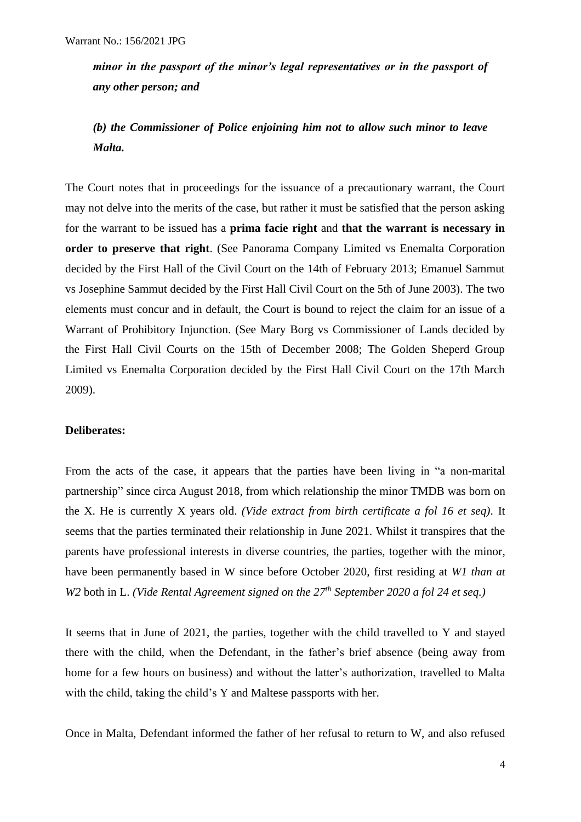*minor in the passport of the minor's legal representatives or in the passport of any other person; and* 

## *(b) the Commissioner of Police enjoining him not to allow such minor to leave Malta.*

The Court notes that in proceedings for the issuance of a precautionary warrant, the Court may not delve into the merits of the case, but rather it must be satisfied that the person asking for the warrant to be issued has a **prima facie right** and **that the warrant is necessary in order to preserve that right**. (See Panorama Company Limited vs Enemalta Corporation decided by the First Hall of the Civil Court on the 14th of February 2013; Emanuel Sammut vs Josephine Sammut decided by the First Hall Civil Court on the 5th of June 2003). The two elements must concur and in default, the Court is bound to reject the claim for an issue of a Warrant of Prohibitory Injunction. (See Mary Borg vs Commissioner of Lands decided by the First Hall Civil Courts on the 15th of December 2008; The Golden Sheperd Group Limited vs Enemalta Corporation decided by the First Hall Civil Court on the 17th March 2009).

#### **Deliberates:**

From the acts of the case, it appears that the parties have been living in "a non-marital partnership" since circa August 2018, from which relationship the minor TMDB was born on the X. He is currently X years old. *(Vide extract from birth certificate a fol 16 et seq).* It seems that the parties terminated their relationship in June 2021. Whilst it transpires that the parents have professional interests in diverse countries, the parties, together with the minor, have been permanently based in W since before October 2020, first residing at *W1 than at W2* both in L. *(Vide Rental Agreement signed on the 27th September 2020 a fol 24 et seq.)*

It seems that in June of 2021, the parties, together with the child travelled to Y and stayed there with the child, when the Defendant, in the father's brief absence (being away from home for a few hours on business) and without the latter's authorization, travelled to Malta with the child, taking the child's Y and Maltese passports with her.

Once in Malta, Defendant informed the father of her refusal to return to W, and also refused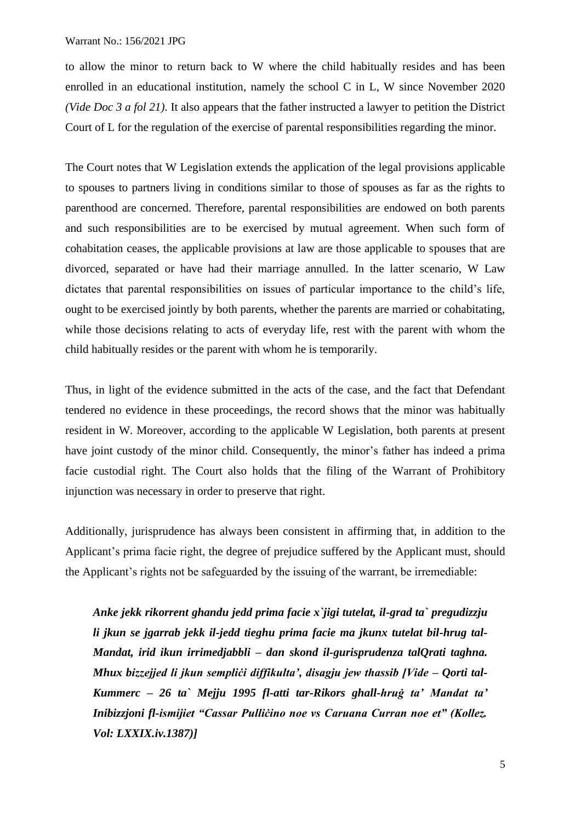to allow the minor to return back to W where the child habitually resides and has been enrolled in an educational institution, namely the school C in L, W since November 2020 *(Vide Doc 3 a fol 21).* It also appears that the father instructed a lawyer to petition the District Court of L for the regulation of the exercise of parental responsibilities regarding the minor.

The Court notes that W Legislation extends the application of the legal provisions applicable to spouses to partners living in conditions similar to those of spouses as far as the rights to parenthood are concerned. Therefore, parental responsibilities are endowed on both parents and such responsibilities are to be exercised by mutual agreement. When such form of cohabitation ceases, the applicable provisions at law are those applicable to spouses that are divorced, separated or have had their marriage annulled. In the latter scenario, W Law dictates that parental responsibilities on issues of particular importance to the child's life, ought to be exercised jointly by both parents, whether the parents are married or cohabitating, while those decisions relating to acts of everyday life, rest with the parent with whom the child habitually resides or the parent with whom he is temporarily.

Thus, in light of the evidence submitted in the acts of the case, and the fact that Defendant tendered no evidence in these proceedings, the record shows that the minor was habitually resident in W. Moreover, according to the applicable W Legislation, both parents at present have joint custody of the minor child. Consequently, the minor's father has indeed a prima facie custodial right. The Court also holds that the filing of the Warrant of Prohibitory injunction was necessary in order to preserve that right.

Additionally, jurisprudence has always been consistent in affirming that, in addition to the Applicant's prima facie right, the degree of prejudice suffered by the Applicant must, should the Applicant's rights not be safeguarded by the issuing of the warrant, be irremediable:

*Anke jekk rikorrent ghandu jedd prima facie x`jigi tutelat, il-grad ta` pregudizzju li jkun se jgarrab jekk il-jedd tieghu prima facie ma jkunx tutelat bil-hrug tal-Mandat, irid ikun irrimedjabbli – dan skond il-gurisprudenza talQrati taghna. Mhux bizzejjed li jkun sempliċi diffikulta', disagju jew thassib [Vide – Qorti tal-Kummerc – 26 ta` Mejju 1995 fl-atti tar-Rikors ghall-hruġ ta' Mandat ta' Inibizzjoni fl-ismijiet "Cassar Pulliċino noe vs Caruana Curran noe et" (Kollez. Vol: LXXIX.iv.1387)]*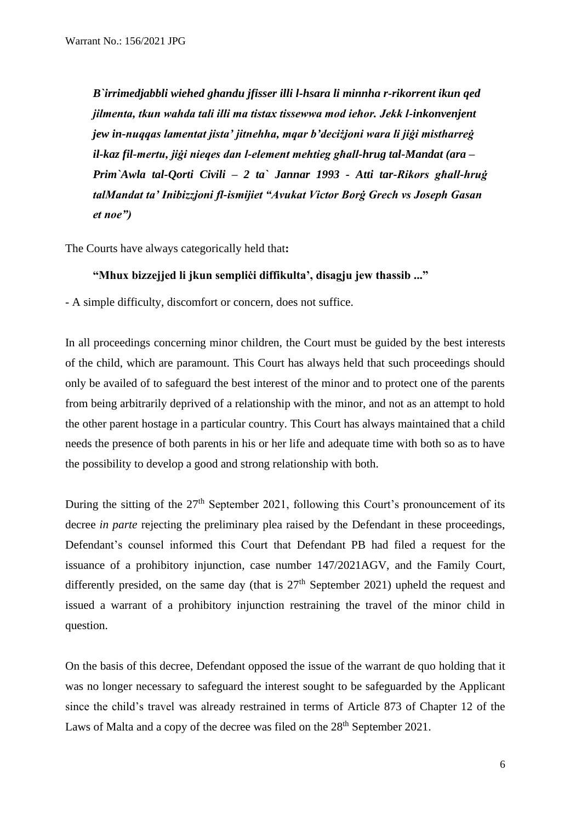*B`irrimedjabbli wiehed ghandu jfisser illi l-hsara li minnha r-rikorrent ikun qed jilmenta, tkun wahda tali illi ma tistax tissewwa mod ieħor. Jekk l-inkonvenjent jew in-nuqqas lamentat jista' jitnehha, mqar b'deciżjoni wara li jiġi mistharreġ il-kaz fil-mertu, jiġi nieqes dan l-element mehtieg għall-hrug tal-Mandat (ara – Prim`Awla tal-Qorti Civili – 2 ta` Jannar 1993 - Atti tar-Rikors għall-hruġ talMandat ta' Inibizzjoni fl-ismijiet "Avukat Victor Borġ Grech vs Joseph Gasan et noe")*

The Courts have always categorically held that**:**

#### **"Mhux bizzejjed li jkun sempliċi diffikulta', disagju jew thassib ..."**

- A simple difficulty, discomfort or concern, does not suffice.

In all proceedings concerning minor children, the Court must be guided by the best interests of the child, which are paramount. This Court has always held that such proceedings should only be availed of to safeguard the best interest of the minor and to protect one of the parents from being arbitrarily deprived of a relationship with the minor, and not as an attempt to hold the other parent hostage in a particular country. This Court has always maintained that a child needs the presence of both parents in his or her life and adequate time with both so as to have the possibility to develop a good and strong relationship with both.

During the sitting of the  $27<sup>th</sup>$  September 2021, following this Court's pronouncement of its decree *in parte* rejecting the preliminary plea raised by the Defendant in these proceedings, Defendant's counsel informed this Court that Defendant PB had filed a request for the issuance of a prohibitory injunction, case number 147/2021AGV, and the Family Court, differently presided, on the same day (that is  $27<sup>th</sup>$  September 2021) upheld the request and issued a warrant of a prohibitory injunction restraining the travel of the minor child in question.

On the basis of this decree, Defendant opposed the issue of the warrant de quo holding that it was no longer necessary to safeguard the interest sought to be safeguarded by the Applicant since the child's travel was already restrained in terms of Article 873 of Chapter 12 of the Laws of Malta and a copy of the decree was filed on the 28<sup>th</sup> September 2021.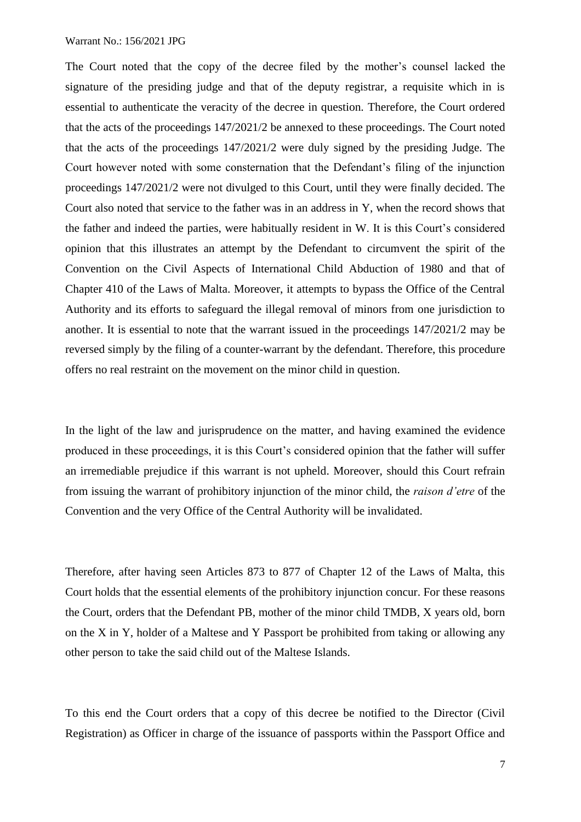The Court noted that the copy of the decree filed by the mother's counsel lacked the signature of the presiding judge and that of the deputy registrar, a requisite which in is essential to authenticate the veracity of the decree in question. Therefore, the Court ordered that the acts of the proceedings 147/2021/2 be annexed to these proceedings. The Court noted that the acts of the proceedings 147/2021/2 were duly signed by the presiding Judge. The Court however noted with some consternation that the Defendant's filing of the injunction proceedings 147/2021/2 were not divulged to this Court, until they were finally decided. The Court also noted that service to the father was in an address in Y, when the record shows that the father and indeed the parties, were habitually resident in W. It is this Court's considered opinion that this illustrates an attempt by the Defendant to circumvent the spirit of the Convention on the Civil Aspects of International Child Abduction of 1980 and that of Chapter 410 of the Laws of Malta. Moreover, it attempts to bypass the Office of the Central Authority and its efforts to safeguard the illegal removal of minors from one jurisdiction to another. It is essential to note that the warrant issued in the proceedings 147/2021/2 may be reversed simply by the filing of a counter-warrant by the defendant. Therefore, this procedure offers no real restraint on the movement on the minor child in question.

In the light of the law and jurisprudence on the matter, and having examined the evidence produced in these proceedings, it is this Court's considered opinion that the father will suffer an irremediable prejudice if this warrant is not upheld. Moreover, should this Court refrain from issuing the warrant of prohibitory injunction of the minor child, the *raison d'etre* of the Convention and the very Office of the Central Authority will be invalidated.

Therefore, after having seen Articles 873 to 877 of Chapter 12 of the Laws of Malta, this Court holds that the essential elements of the prohibitory injunction concur. For these reasons the Court, orders that the Defendant PB, mother of the minor child TMDB, X years old, born on the X in Y, holder of a Maltese and Y Passport be prohibited from taking or allowing any other person to take the said child out of the Maltese Islands.

To this end the Court orders that a copy of this decree be notified to the Director (Civil Registration) as Officer in charge of the issuance of passports within the Passport Office and